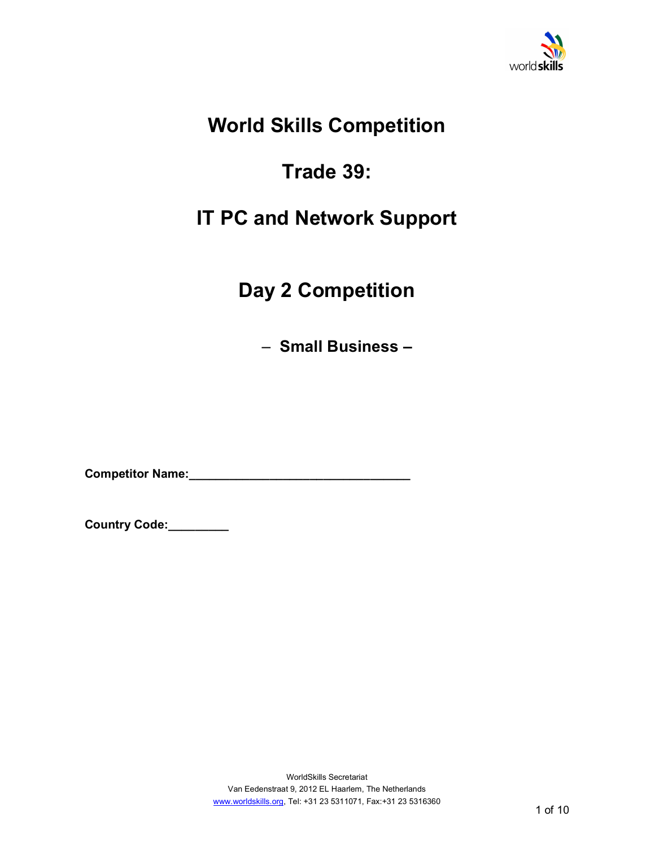

## **World Skills Competition**

# **Trade 39:**

## **IT PC and Network Support**

# **Day 2 Competition**

 $-$  **Small Business –** 

**Competitor Name:\_\_\_\_\_\_\_\_\_\_\_\_\_\_\_\_\_\_\_\_\_\_\_\_\_\_\_\_\_\_\_\_\_** 

**Country Code:\_\_\_\_\_\_\_\_\_**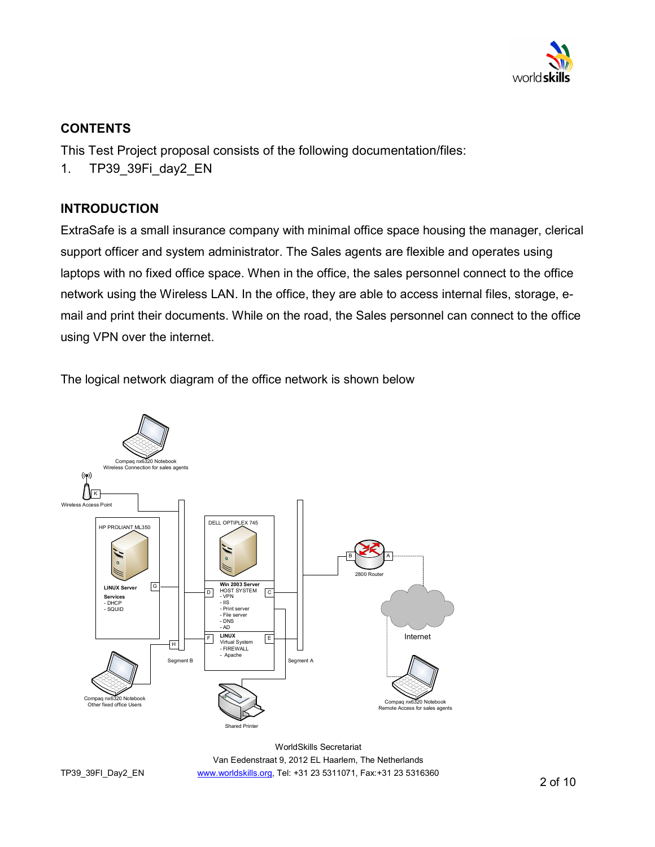

## **CONTENTS**

This Test Project proposal consists of the following documentation/files:

1. TP39\_39Fi\_day2\_EN

## **INTRODUCTION**

ExtraSafe is a small insurance company with minimal office space housing the manager, clerical support officer and system administrator. The Sales agents are flexible and operates using laptops with no fixed office space. When in the office, the sales personnel connect to the office network using the Wireless LAN. In the office, they are able to access internal files, storage, email and print their documents. While on the road, the Sales personnel can connect to the office using VPN over the internet.

The logical network diagram of the office network is shown below



WorldSkills Secretariat Van Eedenstraat 9, 2012 EL Haarlem, The Netherlands www.worldskills.org, Tel: +31 23 5311071, Fax:+31 23 5316360

TP39\_39FI\_Day2\_EN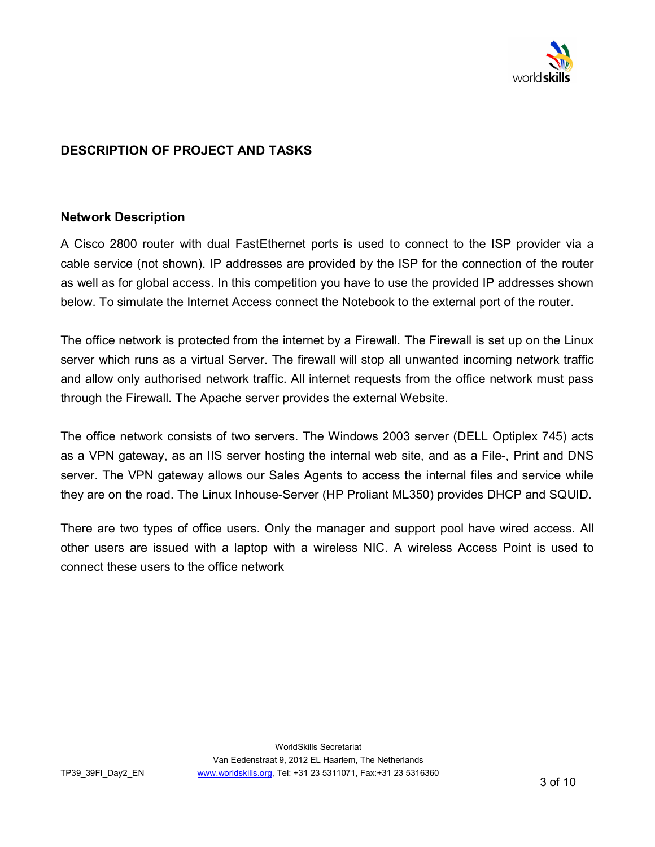

## **DESCRIPTION OF PROJECT AND TASKS**

#### **Network Description**

A Cisco 2800 router with dual FastEthernet ports is used to connect to the ISP provider via a cable service (not shown). IP addresses are provided by the ISP for the connection of the router as well as for global access. In this competition you have to use the provided IP addresses shown below. To simulate the Internet Access connect the Notebook to the external port of the router.

The office network is protected from the internet by a Firewall. The Firewall is set up on the Linux server which runs as a virtual Server. The firewall will stop all unwanted incoming network traffic and allow only authorised network traffic. All internet requests from the office network must pass through the Firewall. The Apache server provides the external Website.

The office network consists of two servers. The Windows 2003 server (DELL Optiplex 745) acts as a VPN gateway, as an IIS server hosting the internal web site, and as a File-, Print and DNS server. The VPN gateway allows our Sales Agents to access the internal files and service while they are on the road. The Linux Inhouse-Server (HP Proliant ML350) provides DHCP and SQUID.

There are two types of office users. Only the manager and support pool have wired access. All other users are issued with a laptop with a wireless NIC. A wireless Access Point is used to connect these users to the office network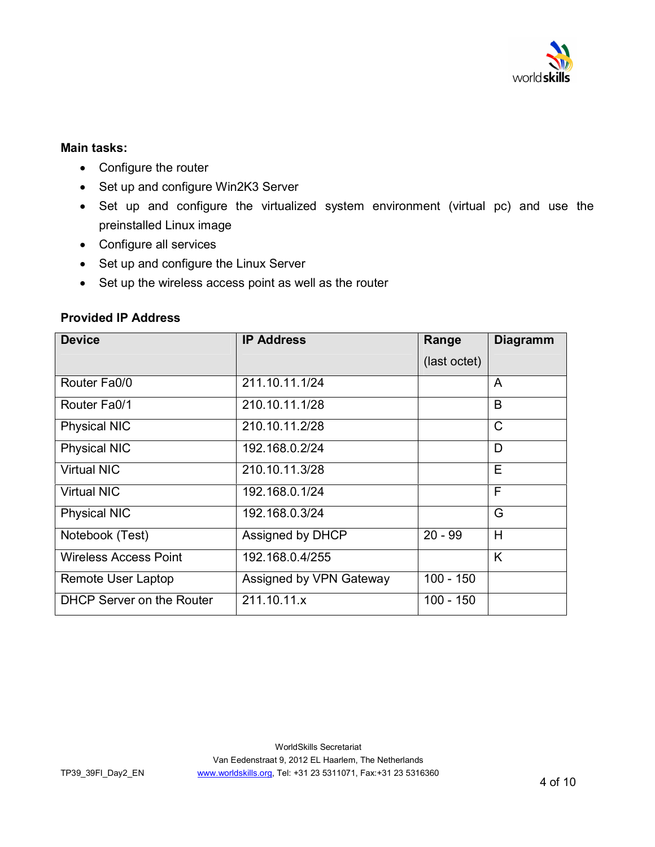

#### **Main tasks:**

- Configure the router
- Set up and configure Win2K3 Server
- Set up and configure the virtualized system environment (virtual pc) and use the preinstalled Linux image
- Configure all services
- Set up and configure the Linux Server
- Set up the wireless access point as well as the router

#### **Provided IP Address**

| <b>Device</b>                    | <b>IP Address</b>       | Range        | <b>Diagramm</b> |
|----------------------------------|-------------------------|--------------|-----------------|
|                                  |                         | (last octet) |                 |
| Router Fa0/0                     | 211.10.11.1/24          |              | A               |
| Router Fa0/1                     | 210.10.11.1/28          |              | B               |
| <b>Physical NIC</b>              | 210.10.11.2/28          |              | $\mathsf{C}$    |
| <b>Physical NIC</b>              | 192.168.0.2/24          |              | D               |
| <b>Virtual NIC</b>               | 210.10.11.3/28          |              | E               |
| <b>Virtual NIC</b>               | 192.168.0.1/24          |              | F               |
| <b>Physical NIC</b>              | 192.168.0.3/24          |              | G               |
| Notebook (Test)                  | Assigned by DHCP        | $20 - 99$    | H               |
| <b>Wireless Access Point</b>     | 192.168.0.4/255         |              | K               |
| Remote User Laptop               | Assigned by VPN Gateway | $100 - 150$  |                 |
| <b>DHCP Server on the Router</b> | 211.10.11.x             | $100 - 150$  |                 |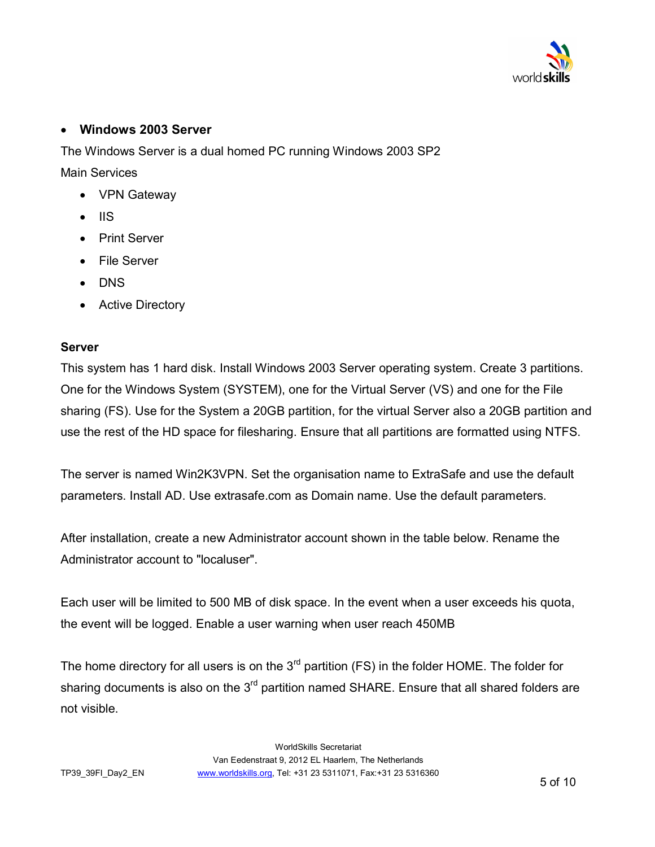

### **Windows 2003 Server**

The Windows Server is a dual homed PC running Windows 2003 SP2 Main Services

- VPN Gateway
- $\bullet$  IIS
- Print Server
- File Server
- DNS
- Active Directory

#### **Server**

This system has 1 hard disk. Install Windows 2003 Server operating system. Create 3 partitions. One for the Windows System (SYSTEM), one for the Virtual Server (VS) and one for the File sharing (FS). Use for the System a 20GB partition, for the virtual Server also a 20GB partition and use the rest of the HD space for filesharing. Ensure that all partitions are formatted using NTFS.

The server is named Win2K3VPN. Set the organisation name to ExtraSafe and use the default parameters. Install AD. Use extrasafe.com as Domain name. Use the default parameters.

After installation, create a new Administrator account shown in the table below. Rename the Administrator account to "localuser".

Each user will be limited to 500 MB of disk space. In the event when a user exceeds his quota, the event will be logged. Enable a user warning when user reach 450MB

The home directory for all users is on the  $3<sup>rd</sup>$  partition (FS) in the folder HOME. The folder for sharing documents is also on the 3<sup>rd</sup> partition named SHARE. Ensure that all shared folders are not visible.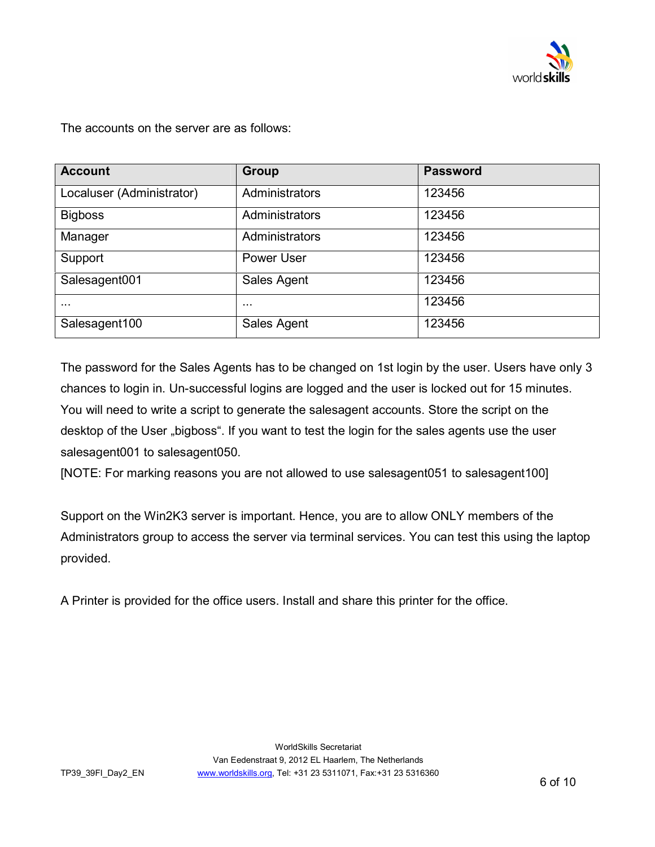

The accounts on the server are as follows:

| <b>Account</b>            | Group          | <b>Password</b> |
|---------------------------|----------------|-----------------|
| Localuser (Administrator) | Administrators | 123456          |
| <b>Bigboss</b>            | Administrators | 123456          |
| Manager                   | Administrators | 123456          |
| Support                   | Power User     | 123456          |
| Salesagent001             | Sales Agent    | 123456          |
| $\cdots$                  | $\cdots$       | 123456          |
| Salesagent100             | Sales Agent    | 123456          |

The password for the Sales Agents has to be changed on 1st login by the user. Users have only 3 chances to login in. Un-successful logins are logged and the user is locked out for 15 minutes. You will need to write a script to generate the salesagent accounts. Store the script on the desktop of the User "bigboss". If you want to test the login for the sales agents use the user salesagent001 to salesagent050.

[NOTE: For marking reasons you are not allowed to use salesagent051 to salesagent100]

Support on the Win2K3 server is important. Hence, you are to allow ONLY members of the Administrators group to access the server via terminal services. You can test this using the laptop provided.

A Printer is provided for the office users. Install and share this printer for the office.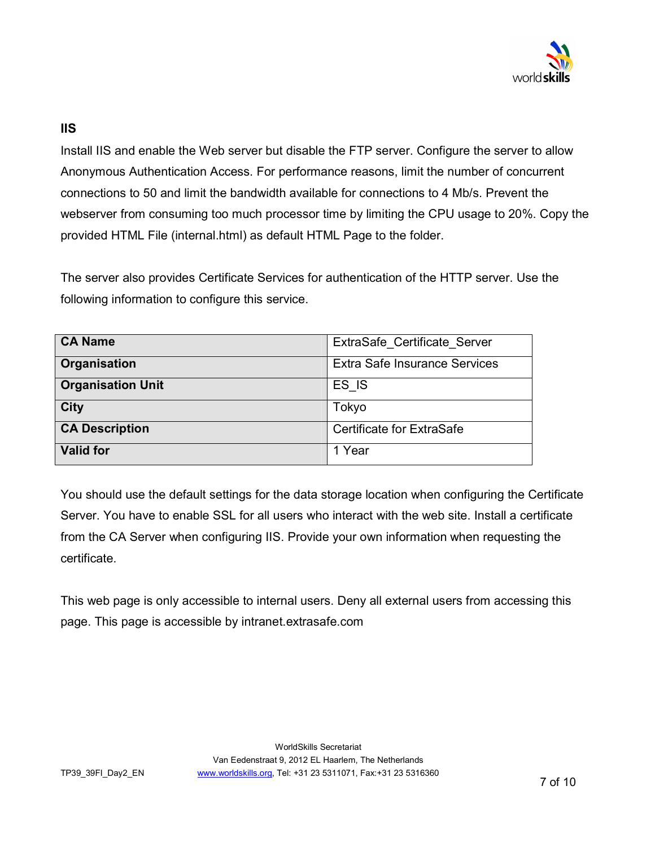

## **IIS**

Install IIS and enable the Web server but disable the FTP server. Configure the server to allow Anonymous Authentication Access. For performance reasons, limit the number of concurrent connections to 50 and limit the bandwidth available for connections to 4 Mb/s. Prevent the webserver from consuming too much processor time by limiting the CPU usage to 20%. Copy the provided HTML File (internal.html) as default HTML Page to the folder.

The server also provides Certificate Services for authentication of the HTTP server. Use the following information to configure this service.

| <b>CA Name</b>           | ExtraSafe Certificate Server         |
|--------------------------|--------------------------------------|
| Organisation             | <b>Extra Safe Insurance Services</b> |
| <b>Organisation Unit</b> | ES IS                                |
| <b>City</b>              | Tokyo                                |
| <b>CA Description</b>    | <b>Certificate for ExtraSafe</b>     |
| <b>Valid for</b>         | 1 Year                               |

You should use the default settings for the data storage location when configuring the Certificate Server. You have to enable SSL for all users who interact with the web site. Install a certificate from the CA Server when configuring IIS. Provide your own information when requesting the certificate.

This web page is only accessible to internal users. Deny all external users from accessing this page. This page is accessible by intranet.extrasafe.com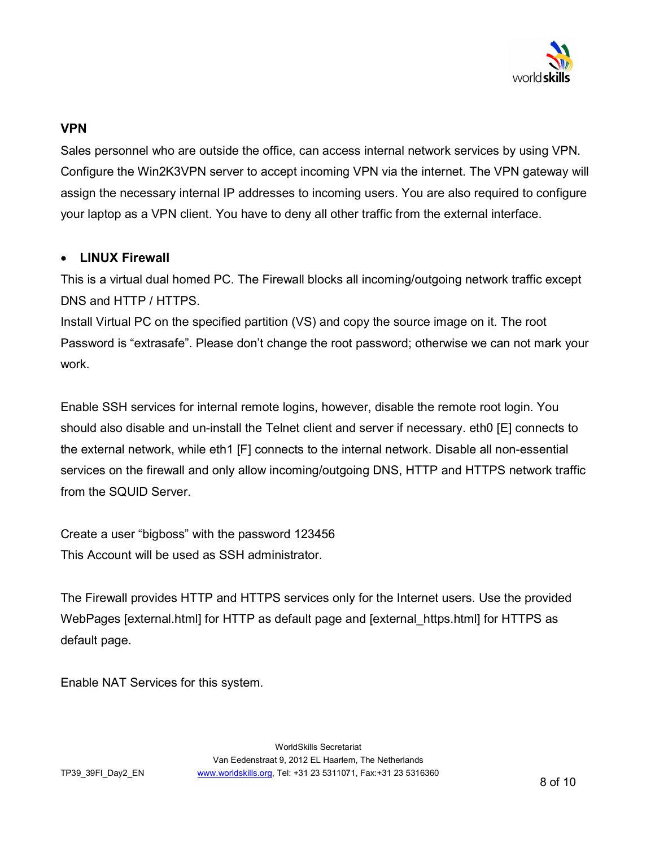

## **VPN**

Sales personnel who are outside the office, can access internal network services by using VPN. Configure the Win2K3VPN server to accept incoming VPN via the internet. The VPN gateway will assign the necessary internal IP addresses to incoming users. You are also required to configure your laptop as a VPN client. You have to deny all other traffic from the external interface.

### **LINUX Firewall**

This is a virtual dual homed PC. The Firewall blocks all incoming/outgoing network traffic except DNS and HTTP / HTTPS.

Install Virtual PC on the specified partition (VS) and copy the source image on it. The root Password is "extrasafe". Please don't change the root password; otherwise we can not mark your work.

Enable SSH services for internal remote logins, however, disable the remote root login. You should also disable and un-install the Telnet client and server if necessary. eth0 [E] connects to the external network, while eth1 [F] connects to the internal network. Disable all non-essential services on the firewall and only allow incoming/outgoing DNS, HTTP and HTTPS network traffic from the SQUID Server.

Create a user "bigboss" with the password 123456 This Account will be used as SSH administrator.

The Firewall provides HTTP and HTTPS services only for the Internet users. Use the provided WebPages [external.html] for HTTP as default page and [external\_https.html] for HTTPS as default page.

Enable NAT Services for this system.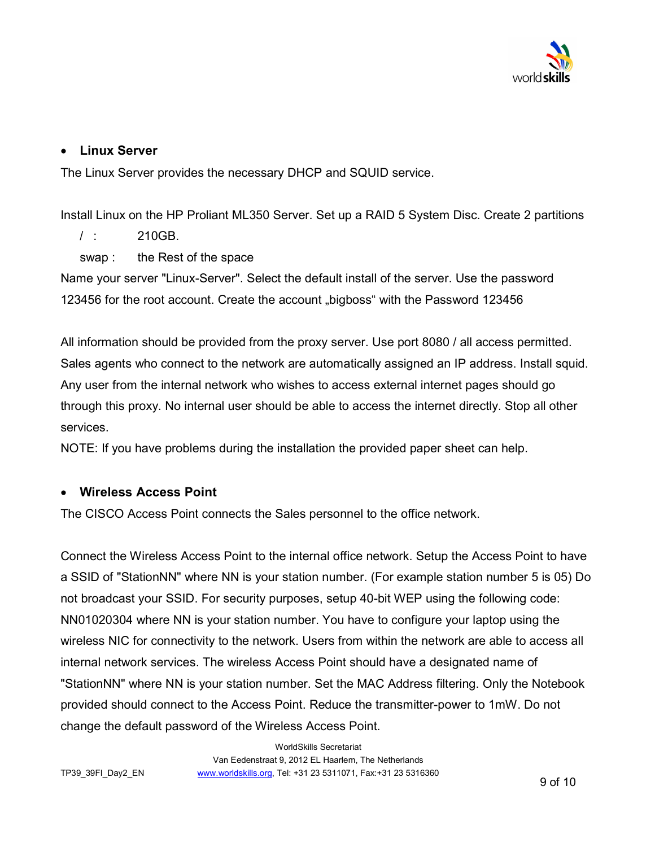

## **Linux Server**

The Linux Server provides the necessary DHCP and SQUID service.

Install Linux on the HP Proliant ML350 Server. Set up a RAID 5 System Disc. Create 2 partitions

/ : 210GB.

swap : the Rest of the space

Name your server "Linux-Server". Select the default install of the server. Use the password 123456 for the root account. Create the account "bigboss" with the Password 123456

All information should be provided from the proxy server. Use port 8080 / all access permitted. Sales agents who connect to the network are automatically assigned an IP address. Install squid. Any user from the internal network who wishes to access external internet pages should go through this proxy. No internal user should be able to access the internet directly. Stop all other services.

NOTE: If you have problems during the installation the provided paper sheet can help.

### **Wireless Access Point**

The CISCO Access Point connects the Sales personnel to the office network.

Connect the Wireless Access Point to the internal office network. Setup the Access Point to have a SSID of "StationNN" where NN is your station number. (For example station number 5 is 05) Do not broadcast your SSID. For security purposes, setup 40-bit WEP using the following code: NN01020304 where NN is your station number. You have to configure your laptop using the wireless NIC for connectivity to the network. Users from within the network are able to access all internal network services. The wireless Access Point should have a designated name of "StationNN" where NN is your station number. Set the MAC Address filtering. Only the Notebook provided should connect to the Access Point. Reduce the transmitter-power to 1mW. Do not change the default password of the Wireless Access Point.